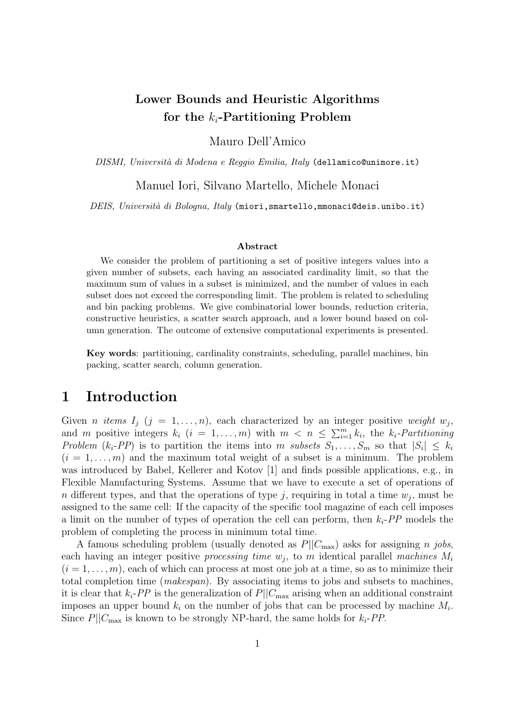## Lower Bounds and Heuristic Algorithms for the  $k_i$ -Partitioning Problem

Mauro Dell'Amico

DISMI, Università di Modena e Reggio Emilia, Italy (dellamico@unimore.it)

Manuel Iori, Silvano Martello, Michele Monaci

DEIS, Università di Bologna, Italy (miori, smartello, mmonaci@deis.unibo.it)

#### Abstract

We consider the problem of partitioning a set of positive integers values into a given number of subsets, each having an associated cardinality limit, so that the maximum sum of values in a subset is minimized, and the number of values in each subset does not exceed the corresponding limit. The problem is related to scheduling and bin packing problems. We give combinatorial lower bounds, reduction criteria, constructive heuristics, a scatter search approach, and a lower bound based on column generation. The outcome of extensive computational experiments is presented.

Key words: partitioning, cardinality constraints, scheduling, parallel machines, bin packing, scatter search, column generation.

### 1 Introduction

Given *n* items  $I_j$   $(j = 1, ..., n)$ , each characterized by an integer positive weight  $w_j$ , and m positive integers  $k_i$   $(i = 1, ..., m)$  with  $m < n \leq \sum_{i=1}^{m} k_i$ , the  $k_i$ -Partitioning Problem  $(k_i-PP)$  is to partition the items into m subsets  $S_1,\ldots,S_m$  so that  $|S_i| \leq k_i$  $(i = 1, \ldots, m)$  and the maximum total weight of a subset is a minimum. The problem was introduced by Babel, Kellerer and Kotov [1] and finds possible applications, e.g., in Flexible Manufacturing Systems. Assume that we have to execute a set of operations of n different types, and that the operations of type j, requiring in total a time  $w_j$ , must be assigned to the same cell: If the capacity of the specific tool magazine of each cell imposes a limit on the number of types of operation the cell can perform, then  $k_i$ -PP models the problem of completing the process in minimum total time.

A famous scheduling problem (usually denoted as  $P||C_{\text{max}}$ ) asks for assigning *n jobs*, each having an integer positive *processing time*  $w_j$ , to m identical parallel machines  $M_i$  $(i = 1, \ldots, m)$ , each of which can process at most one job at a time, so as to minimize their total completion time (makespan). By associating items to jobs and subsets to machines, it is clear that  $k_i$ -PP is the generalization of  $P||C_{\text{max}}$  arising when an additional constraint imposes an upper bound  $k_i$  on the number of jobs that can be processed by machine  $M_i$ . Since  $P||C_{\text{max}}$  is known to be strongly NP-hard, the same holds for  $k_i$ -PP.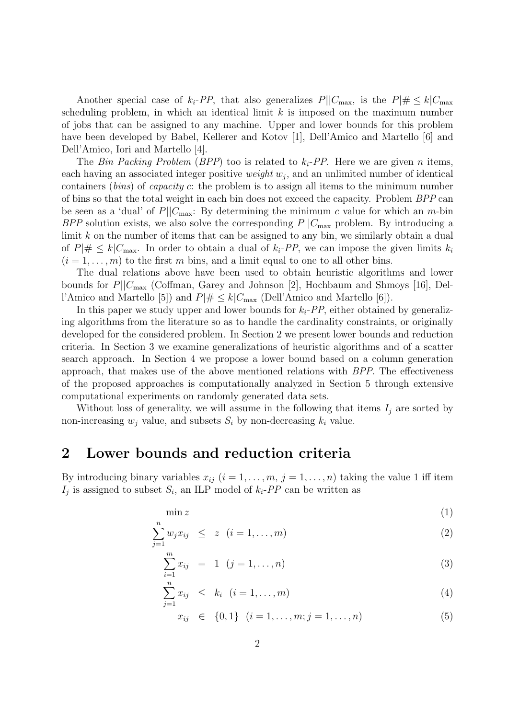Another special case of  $k_i$ -PP, that also generalizes  $P||C_{\text{max}}$ , is the  $P| \neq k|C_{\text{max}}$ scheduling problem, in which an identical limit  $k$  is imposed on the maximum number of jobs that can be assigned to any machine. Upper and lower bounds for this problem have been developed by Babel, Kellerer and Kotov [1], Dell'Amico and Martello [6] and Dell'Amico, Iori and Martello [4].

The Bin Packing Problem (BPP) too is related to  $k_i$ -PP. Here we are given n items, each having an associated integer positive *weight*  $w_j$ , and an unlimited number of identical containers (bins) of capacity c: the problem is to assign all items to the minimum number of bins so that the total weight in each bin does not exceed the capacity. Problem BPP can be seen as a 'dual' of  $P||C_{\text{max}}$ : By determining the minimum c value for which an m-bin BPP solution exists, we also solve the corresponding  $P||C_{\text{max}}$  problem. By introducing a limit k on the number of items that can be assigned to any bin, we similarly obtain a dual of  $P\vert\# \leq k|C_{\text{max}}$ . In order to obtain a dual of  $k_i$ -PP, we can impose the given limits  $k_i$  $(i = 1, \ldots, m)$  to the first m bins, and a limit equal to one to all other bins.

The dual relations above have been used to obtain heuristic algorithms and lower bounds for  $P||C_{\text{max}}$  (Coffman, Garey and Johnson [2], Hochbaum and Shmoys [16], Dell'Amico and Martello [5]) and  $P| \# \leq k | C_{\text{max}}$  (Dell'Amico and Martello [6]).

In this paper we study upper and lower bounds for  $k_i$ -PP, either obtained by generalizing algorithms from the literature so as to handle the cardinality constraints, or originally developed for the considered problem. In Section 2 we present lower bounds and reduction criteria. In Section 3 we examine generalizations of heuristic algorithms and of a scatter search approach. In Section 4 we propose a lower bound based on a column generation approach, that makes use of the above mentioned relations with BPP. The effectiveness of the proposed approaches is computationally analyzed in Section 5 through extensive computational experiments on randomly generated data sets.

Without loss of generality, we will assume in the following that items  $I_i$  are sorted by non-increasing  $w_i$  value, and subsets  $S_i$  by non-decreasing  $k_i$  value.

### 2 Lower bounds and reduction criteria

By introducing binary variables  $x_{ij}$   $(i = 1, \ldots, m, j = 1, \ldots, n)$  taking the value 1 iff item  $I_j$  is assigned to subset  $S_i$ , an ILP model of  $k_i$ -PP can be written as

$$
\min z \tag{1}
$$

$$
\sum_{j=1}^{n} w_j x_{ij} \leq z \quad (i = 1, ..., m)
$$
 (2)

$$
\sum_{i=1}^{m} x_{ij} = 1 \quad (j = 1, ..., n)
$$
 (3)

$$
\sum_{j=1}^{n} x_{ij} \leq k_i \quad (i = 1, \dots, m)
$$
 (4)

$$
x_{ij} \in \{0, 1\} \quad (i = 1, \dots, m; j = 1, \dots, n)
$$
 (5)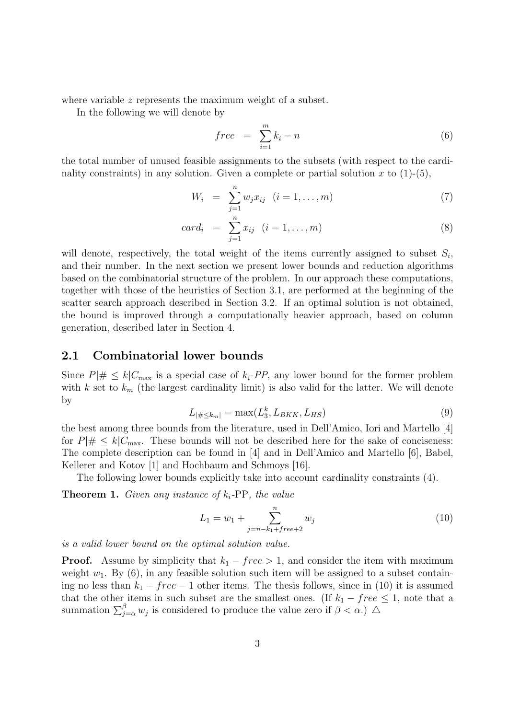where variable z represents the maximum weight of a subset.

In the following we will denote by

$$
free = \sum_{i=1}^{m} k_i - n \tag{6}
$$

the total number of unused feasible assignments to the subsets (with respect to the cardinality constraints) in any solution. Given a complete or partial solution x to  $(1)-(5)$ ,

$$
W_i = \sum_{j=1}^{n} w_j x_{ij} \quad (i = 1, \dots, m)
$$
 (7)

$$
card_i = \sum_{j=1}^{n} x_{ij} \quad (i = 1, ..., m)
$$
 (8)

will denote, respectively, the total weight of the items currently assigned to subset  $S_i$ , and their number. In the next section we present lower bounds and reduction algorithms based on the combinatorial structure of the problem. In our approach these computations, together with those of the heuristics of Section 3.1, are performed at the beginning of the scatter search approach described in Section 3.2. If an optimal solution is not obtained, the bound is improved through a computationally heavier approach, based on column generation, described later in Section 4.

### 2.1 Combinatorial lower bounds

Since  $P|# \leq k|C_{\text{max}}$  is a special case of  $k_i$ -PP, any lower bound for the former problem with k set to  $k_m$  (the largest cardinality limit) is also valid for the latter. We will denote by

$$
L_{|\# \le k_m|} = \max(L_3^k, L_{BKK}, L_{HS})
$$
\n(9)

the best among three bounds from the literature, used in Dell'Amico, Iori and Martello [4] for  $P|\# \leq k|C_{\text{max}}$ . These bounds will not be described here for the sake of conciseness: The complete description can be found in [4] and in Dell'Amico and Martello [6], Babel, Kellerer and Kotov [1] and Hochbaum and Schmoys [16].

The following lower bounds explicitly take into account cardinality constraints (4).

**Theorem 1.** Given any instance of  $k_i$ -PP, the value

$$
L_1 = w_1 + \sum_{j=n-k_1+free+2}^{n} w_j
$$
\n(10)

is a valid lower bound on the optimal solution value.

**Proof.** Assume by simplicity that  $k_1 - free > 1$ , and consider the item with maximum weight  $w_1$ . By (6), in any feasible solution such item will be assigned to a subset containing no less than  $k_1 - free - 1$  other items. The thesis follows, since in (10) it is assumed that the other items in such subset are the smallest ones. (If  $k_1$  – free  $\leq$  1, note that a summation  $\sum_{j=\alpha}^{\beta} w_j$  is considered to produce the value zero if  $\beta < \alpha$ .)  $\Delta$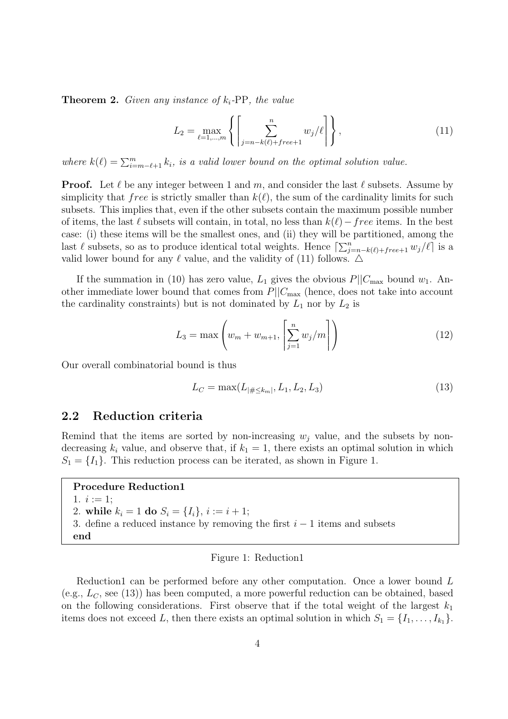**Theorem 2.** Given any instance of  $k_i$ -PP, the value

$$
L_2 = \max_{\ell=1,\dots,m} \left\{ \left[ \sum_{j=n-k(\ell)+free+1}^n w_j / \ell \right] \right\},
$$
 (11)

where  $k(\ell) = \sum_{i=m-\ell+1}^{m} k_i$ , is a valid lower bound on the optimal solution value.

**Proof.** Let  $\ell$  be any integer between 1 and m, and consider the last  $\ell$  subsets. Assume by simplicity that free is strictly smaller than  $k(\ell)$ , the sum of the cardinality limits for such subsets. This implies that, even if the other subsets contain the maximum possible number of items, the last  $\ell$  subsets will contain, in total, no less than  $k(\ell)-free$  items. In the best case: (i) these items will be the smallest ones, and (ii) they will be partitioned, among the last  $\ell$  subsets, so as to produce identical total weights. Hence  $\left[\sum_{j=n-k(\ell)+free+1}^n w_j/\ell\right]$  is a valid lower bound for any  $\ell$  value, and the validity of (11) follows.  $\Delta$ 

If the summation in (10) has zero value,  $L_1$  gives the obvious  $P||C_{\text{max}}$  bound  $w_1$ . Another immediate lower bound that comes from  $P||C_{\text{max}}$  (hence, does not take into account the cardinality constraints) but is not dominated by  $L_1$  nor by  $L_2$  is

$$
L_3 = \max\left(w_m + w_{m+1}, \left[\sum_{j=1}^n w_j/m\right]\right)
$$
 (12)

Our overall combinatorial bound is thus

$$
L_C = \max(L_{|\# \le k_m|}, L_1, L_2, L_3) \tag{13}
$$

### 2.2 Reduction criteria

Remind that the items are sorted by non-increasing  $w_i$  value, and the subsets by nondecreasing  $k_i$  value, and observe that, if  $k_1 = 1$ , there exists an optimal solution in which  $S_1 = \{I_1\}.$  This reduction process can be iterated, as shown in Figure 1.

#### Procedure Reduction1

1.  $i := 1$ ; 2. while  $k_i = 1$  do  $S_i = \{I_i\}, i := i + 1;$ 3. define a reduced instance by removing the first  $i - 1$  items and subsets end

#### Figure 1: Reduction1

Reduction1 can be performed before any other computation. Once a lower bound L (e.g.,  $L_C$ , see (13)) has been computed, a more powerful reduction can be obtained, based on the following considerations. First observe that if the total weight of the largest  $k_1$ items does not exceed L, then there exists an optimal solution in which  $S_1 = \{I_1, \ldots, I_{k_1}\}.$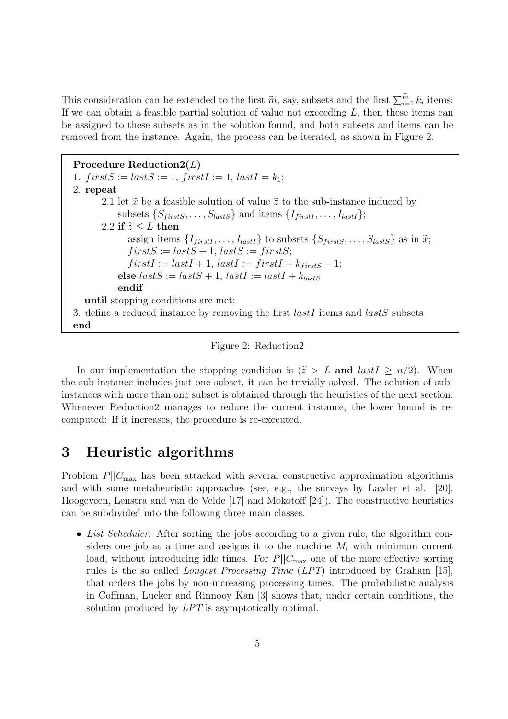This consideration can be extended to the first  $\widetilde{m}$ , say, subsets and the first  $\sum_{i=1}^{\widetilde{m}} k_i$  items: If we can obtain a feasible partial solution of value not exceeding  $L$ , then these items can be assigned to these subsets as in the solution found, and both subsets and items can be removed from the instance. Again, the process can be iterated, as shown in Figure 2.

Procedure Reduction2(L) 1.  $firstS := lastS := 1, firstI := 1, lastI = k_1;$ 2. repeat 2.1 let  $\tilde{x}$  be a feasible solution of value  $\tilde{z}$  to the sub-instance induced by subsets  $\{S_{firstS}, \ldots, S_{lastS}\}\$  and items  $\{I_{firstI}, \ldots, I_{lastI}\}\;$ ; 2.2 if  $\tilde{z} \leq L$  then assign items  $\{I_{firstI}, \ldots, I_{lastI}\}$  to subsets  $\{S_{firstS}, \ldots, S_{lastS}\}$  as in  $\tilde{x}$ ;  $firstS := lastS + 1, lastS := firstS;$  $firstI := lastI + 1, lastI := firstI + k<sub>firstS</sub> - 1;$ else  $lastS := lastS + 1$ ,  $lastI := lastI + k_{lastS}$ endif until stopping conditions are met; 3. define a reduced instance by removing the first  $lastI$  items and  $lastS$  subsets end

#### Figure 2: Reduction2

In our implementation the stopping condition is  $(\tilde{z} > L$  and  $lastI > n/2)$ . When the sub-instance includes just one subset, it can be trivially solved. The solution of subinstances with more than one subset is obtained through the heuristics of the next section. Whenever Reduction2 manages to reduce the current instance, the lower bound is recomputed: If it increases, the procedure is re-executed.

## 3 Heuristic algorithms

Problem  $P||C_{\text{max}}$  has been attacked with several constructive approximation algorithms and with some metaheuristic approaches (see, e.g., the surveys by Lawler et al. [20], Hoogeveen, Lenstra and van de Velde [17] and Mokotoff [24]). The constructive heuristics can be subdivided into the following three main classes.

• List Scheduler: After sorting the jobs according to a given rule, the algorithm considers one job at a time and assigns it to the machine  $M_i$  with minimum current load, without introducing idle times. For  $P||C_{\text{max}}$  one of the more effective sorting rules is the so called Longest Processing Time (LPT) introduced by Graham [15], that orders the jobs by non-increasing processing times. The probabilistic analysis in Coffman, Lueker and Rinnooy Kan [3] shows that, under certain conditions, the solution produced by *LPT* is asymptotically optimal.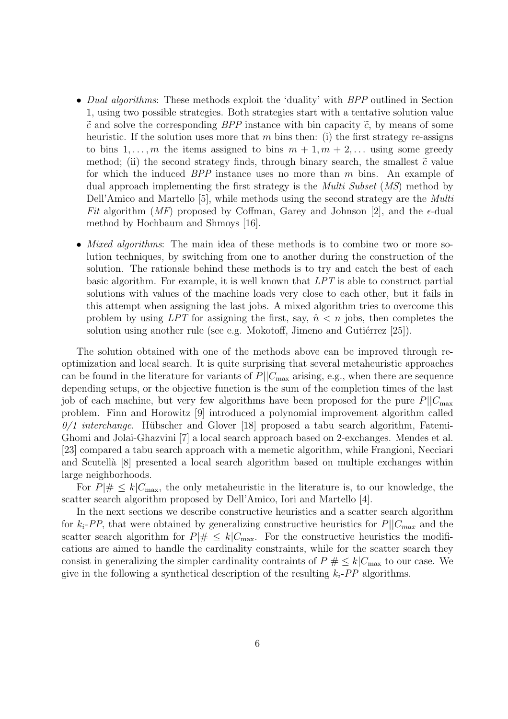- Dual algorithms: These methods exploit the 'duality' with BPP outlined in Section 1, using two possible strategies. Both strategies start with a tentative solution value  $\tilde{c}$  and solve the corresponding BPP instance with bin capacity  $\tilde{c}$ , by means of some heuristic. If the solution uses more that m bins then: (i) the first strategy re-assigns to bins  $1, \ldots, m$  the items assigned to bins  $m + 1, m + 2, \ldots$  using some greedy method; (ii) the second strategy finds, through binary search, the smallest  $\tilde{c}$  value for which the induced BPP instance uses no more than m bins. An example of dual approach implementing the first strategy is the *Multi Subset* (*MS*) method by Dell'Amico and Martello [5], while methods using the second strategy are the Multi Fit algorithm (MF) proposed by Coffman, Garey and Johnson [2], and the  $\epsilon$ -dual method by Hochbaum and Shmoys [16].
- *Mixed algorithms*: The main idea of these methods is to combine two or more solution techniques, by switching from one to another during the construction of the solution. The rationale behind these methods is to try and catch the best of each basic algorithm. For example, it is well known that LPT is able to construct partial solutions with values of the machine loads very close to each other, but it fails in this attempt when assigning the last jobs. A mixed algorithm tries to overcome this problem by using LPT for assigning the first, say,  $\hat{n} < n$  jobs, then completes the solution using another rule (see e.g. Mokotoff, Jimeno and Gutiérrez  $[25]$ ).

The solution obtained with one of the methods above can be improved through reoptimization and local search. It is quite surprising that several metaheuristic approaches can be found in the literature for variants of  $P||C_{\text{max}}$  arising, e.g., when there are sequence depending setups, or the objective function is the sum of the completion times of the last job of each machine, but very few algorithms have been proposed for the pure  $P||C_{\text{max}}$ problem. Finn and Horowitz [9] introduced a polynomial improvement algorithm called  $0/1$  interchange. Hübscher and Glover [18] proposed a tabu search algorithm, Fatemi-Ghomi and Jolai-Ghazvini [7] a local search approach based on 2-exchanges. Mendes et al. [23] compared a tabu search approach with a memetic algorithm, while Frangioni, Necciari and Scutell`a [8] presented a local search algorithm based on multiple exchanges within large neighborhoods.

For  $P|\# \leq k|C_{\text{max}}$ , the only metaheuristic in the literature is, to our knowledge, the scatter search algorithm proposed by Dell'Amico, Iori and Martello [4].

In the next sections we describe constructive heuristics and a scatter search algorithm for  $k_i$ -PP, that were obtained by generalizing constructive heuristics for  $P||C_{max}$  and the scatter search algorithm for  $P|\# \leq k|C_{\text{max}}$ . For the constructive heuristics the modifications are aimed to handle the cardinality constraints, while for the scatter search they consist in generalizing the simpler cardinality contraints of  $P|\# \leq k|C_{\text{max}}$  to our case. We give in the following a synthetical description of the resulting  $k_i$ -PP algorithms.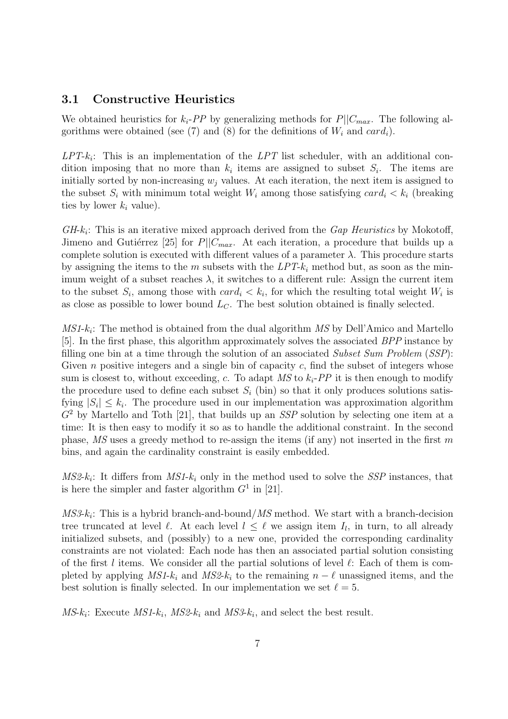### 3.1 Constructive Heuristics

We obtained heuristics for  $k_i$ -PP by generalizing methods for  $P||C_{max}$ . The following algorithms were obtained (see (7) and (8) for the definitions of  $W_i$  and  $card_i$ ).

 $LPT-k_i$ : This is an implementation of the  $LPT$  list scheduler, with an additional condition imposing that no more than  $k_i$  items are assigned to subset  $S_i$ . The items are initially sorted by non-increasing  $w_j$  values. At each iteration, the next item is assigned to the subset  $S_i$  with minimum total weight  $W_i$  among those satisfying  $card_i < k_i$  (breaking ties by lower  $k_i$  value).

 $GH-k_i$ : This is an iterative mixed approach derived from the  $Gap$  Heuristics by Mokotoff, Jimeno and Gutiérrez [25] for  $P||C_{max}$ . At each iteration, a procedure that builds up a complete solution is executed with different values of a parameter  $\lambda$ . This procedure starts by assigning the items to the m subsets with the  $LPT-k<sub>i</sub>$  method but, as soon as the minimum weight of a subset reaches  $\lambda$ , it switches to a different rule: Assign the current item to the subset  $S_i$ , among those with  $card_i < k_i$ , for which the resulting total weight  $W_i$  is as close as possible to lower bound  $L<sub>C</sub>$ . The best solution obtained is finally selected.

 $MS1-k_i$ : The method is obtained from the dual algorithm  $MS$  by Dell'Amico and Martello [5]. In the first phase, this algorithm approximately solves the associated BPP instance by filling one bin at a time through the solution of an associated Subset Sum Problem  $(SSP)$ : Given  $n$  positive integers and a single bin of capacity  $c$ , find the subset of integers whose sum is closest to, without exceeding, c. To adapt  $MS$  to  $k_i$ -PP it is then enough to modify the procedure used to define each subset  $S_i$  (bin) so that it only produces solutions satisfying  $|S_i| \leq k_i$ . The procedure used in our implementation was approximation algorithm  $G<sup>2</sup>$  by Martello and Toth [21], that builds up an SSP solution by selecting one item at a time: It is then easy to modify it so as to handle the additional constraint. In the second phase,  $\overline{MS}$  uses a greedy method to re-assign the items (if any) not inserted in the first m bins, and again the cardinality constraint is easily embedded.

 $MS2-k_i$ : It differs from  $MS1-k_i$  only in the method used to solve the SSP instances, that is here the simpler and faster algorithm  $G<sup>1</sup>$  in [21].

 $MS3-k_i$ : This is a hybrid branch-and-bound/ $MS$  method. We start with a branch-decision tree truncated at level  $\ell$ . At each level  $l \leq \ell$  we assign item  $I_l$ , in turn, to all already initialized subsets, and (possibly) to a new one, provided the corresponding cardinality constraints are not violated: Each node has then an associated partial solution consisting of the first l items. We consider all the partial solutions of level  $\ell$ : Each of them is completed by applying MS1- $k_i$  and MS2- $k_i$  to the remaining  $n - \ell$  unassigned items, and the best solution is finally selected. In our implementation we set  $\ell = 5$ .

 $MS\text{-}k_i$ : Execute  $MS\text{-}k_i$ ,  $MS\text{-}k_i$  and  $MS\text{-}k_i$ , and select the best result.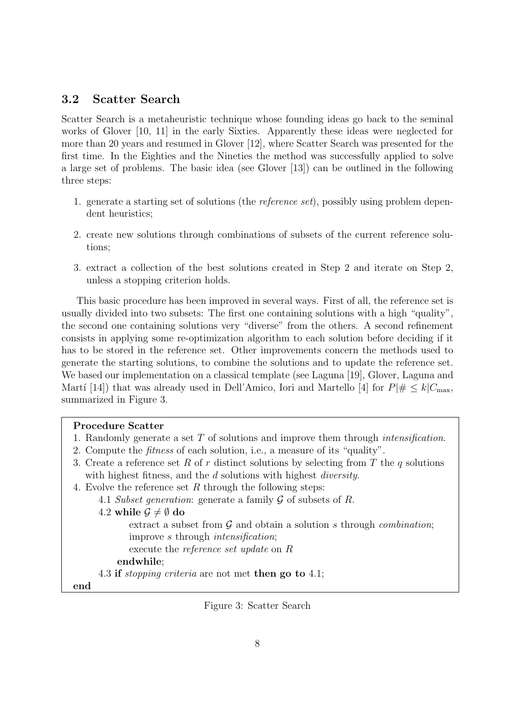### 3.2 Scatter Search

Scatter Search is a metaheuristic technique whose founding ideas go back to the seminal works of Glover [10, 11] in the early Sixties. Apparently these ideas were neglected for more than 20 years and resumed in Glover [12], where Scatter Search was presented for the first time. In the Eighties and the Nineties the method was successfully applied to solve a large set of problems. The basic idea (see Glover [13]) can be outlined in the following three steps:

- 1. generate a starting set of solutions (the reference set), possibly using problem dependent heuristics;
- 2. create new solutions through combinations of subsets of the current reference solutions;
- 3. extract a collection of the best solutions created in Step 2 and iterate on Step 2, unless a stopping criterion holds.

This basic procedure has been improved in several ways. First of all, the reference set is usually divided into two subsets: The first one containing solutions with a high "quality", the second one containing solutions very "diverse" from the others. A second refinement consists in applying some re-optimization algorithm to each solution before deciding if it has to be stored in the reference set. Other improvements concern the methods used to generate the starting solutions, to combine the solutions and to update the reference set. We based our implementation on a classical template (see Laguna [19], Glover, Laguna and Martí [14]) that was already used in Dell'Amico, Iori and Martello [4] for  $P\# \leq k|C_{\text{max}}$ , summarized in Figure 3.

#### Procedure Scatter

- 1. Randomly generate a set T of solutions and improve them through intensification.
- 2. Compute the fitness of each solution, i.e., a measure of its "quality".
- 3. Create a reference set R of r distinct solutions by selecting from T the q solutions with highest fitness, and the d solutions with highest *diversity*.
- 4. Evolve the reference set  $R$  through the following steps:
	- 4.1 Subset generation: generate a family G of subsets of R.

4.2 while  $\mathcal{G} \neq \emptyset$  do

extract a subset from  $G$  and obtain a solution s through *combination*; improve s through intensification;

execute the reference set update on R

endwhile;

4.3 if stopping criteria are not met then go to 4.1;

end

Figure 3: Scatter Search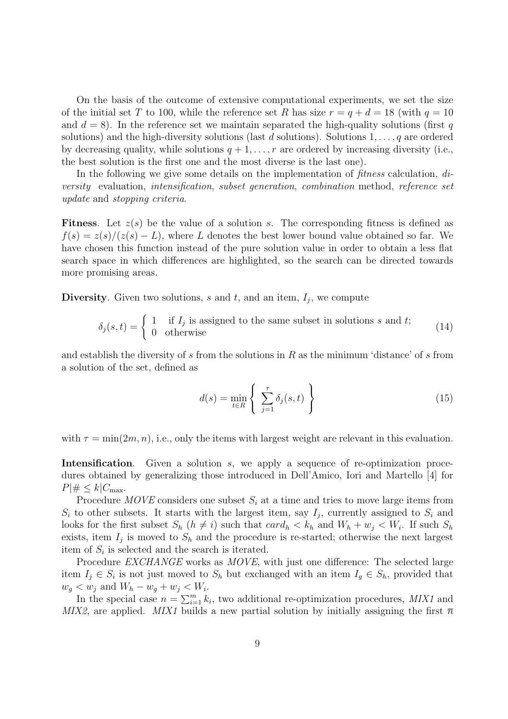On the basis of the outcome of extensive computational experiments, we set the size of the initial set T to 100, while the reference set R has size  $r = q + d = 18$  (with  $q = 10$ ) and  $d = 8$ ). In the reference set we maintain separated the high-quality solutions (first q solutions) and the high-diversity solutions (last d solutions). Solutions  $1, \ldots, q$  are ordered by decreasing quality, while solutions  $q + 1, \ldots, r$  are ordered by increasing diversity (i.e., the best solution is the first one and the most diverse is the last one).

In the following we give some details on the implementation of *fitness* calculation, diversity evaluation, intensification, subset generation, combination method, reference set update and stopping criteria.

**Fitness**. Let  $z(s)$  be the value of a solution s. The corresponding fitness is defined as  $f(s) = z(s)/(z(s) - L)$ , where L denotes the best lower bound value obtained so far. We have chosen this function instead of the pure solution value in order to obtain a less flat search space in which differences are highlighted, so the search can be directed towards more promising areas.

Diversity. Given two solutions,  $s$  and  $t$ , and an item,  $I_j$ , we compute

$$
\delta_j(s,t) = \begin{cases} 1 & \text{if } I_j \text{ is assigned to the same subset in solutions } s \text{ and } t; \\ 0 & \text{otherwise} \end{cases}
$$
 (14)

and establish the diversity of s from the solutions in  $R$  as the minimum 'distance' of s from a solution of the set, defined as

$$
d(s) = \min_{t \in R} \left\{ \sum_{j=1}^{\tau} \delta_j(s, t) \right\} \tag{15}
$$

with  $\tau = \min(2m, n)$ , i.e., only the items with largest weight are relevant in this evaluation.

Intensification. Given a solution s, we apply a sequence of re-optimization procedures obtained by generalizing those introduced in Dell'Amico, Iori and Martello [4] for  $P|\# \leq k|C_{\max}$ .

Procedure MOVE considers one subset  $S_i$  at a time and tries to move large items from  $S_i$  to other subsets. It starts with the largest item, say  $I_j$ , currently assigned to  $S_i$  and looks for the first subset  $S_h$   $(h \neq i)$  such that  $card_h < k_h$  and  $W_h + w_j < W_i$ . If such  $S_h$ exists, item  $I_j$  is moved to  $S_h$  and the procedure is re-started; otherwise the next largest item of  $S_i$  is selected and the search is iterated.

Procedure EXCHANGE works as MOVE, with just one difference: The selected large item  $I_j \in S_i$  is not just moved to  $S_h$  but exchanged with an item  $I_g \in S_h$ , provided that  $w_g < w_j$  and  $W_h - w_g + w_j < W_i$ .

In the special case  $n = \sum_{i=1}^{m} k_i$ , two additional re-optimization procedures, MIX1 and MIX2, are applied. MIX1 builds a new partial solution by initially assigning the first  $\bar{n}$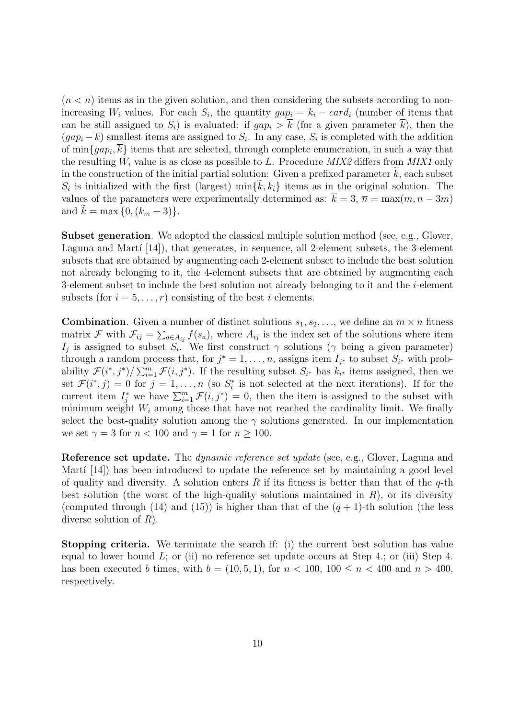$(\bar{n} < n)$  items as in the given solution, and then considering the subsets according to nonincreasing  $W_i$  values. For each  $S_i$ , the quantity  $gap_i = k_i - card_i$  (number of items that can be still assigned to  $S_i$ ) is evaluated: if  $gap_i > \overline{k}$  (for a given parameter  $\overline{k}$ ), then the  $(gap_i - \overline{k})$  smallest items are assigned to  $S_i$ . In any case,  $S_i$  is completed with the addition of  $\min\{gap_i, \overline{k}\}\)$  items that are selected, through complete enumeration, in such a way that the resulting  $W_i$  value is as close as possible to L. Procedure  $MIX2$  differs from  $MIX1$  only in the construction of the initial partial solution: Given a prefixed parameter  $k$ , each subset  $S_i$  is initialized with the first (largest) min $\{\tilde{k}, k_i\}$  items as in the original solution. The values of the parameters were experimentally determined as:  $\bar{k} = 3$ ,  $\bar{n} = \max(m, n - 3m)$ and  $k = \max\{0, (k_m - 3)\}.$ 

Subset generation. We adopted the classical multiple solution method (see, e.g., Glover, Laguna and Martí  $[14]$ , that generates, in sequence, all 2-element subsets, the 3-element subsets that are obtained by augmenting each 2-element subset to include the best solution not already belonging to it, the 4-element subsets that are obtained by augmenting each 3-element subset to include the best solution not already belonging to it and the  $i$ -element subsets (for  $i = 5, \ldots, r$ ) consisting of the best i elements.

**Combination**. Given a number of distinct solutions  $s_1, s_2, \ldots$ , we define an  $m \times n$  fitness matrix F with  $\mathcal{F}_{ij} = \sum_{a \in A_{ij}} f(s_a)$ , where  $A_{ij}$  is the index set of the solutions where item  $I_j$  is assigned to subset  $S_i$ . We first construct  $\gamma$  solutions ( $\gamma$  being a given parameter) through a random process that, for  $j^* = 1, \ldots, n$ , assigns item  $I_{j^*}$  to subset  $S_{i^*}$  with probability  $\mathcal{F}(i^*, j^*)/\sum_{i=1}^m \mathcal{F}(i, j^*)$ . If the resulting subset  $S_{i^*}$  has  $k_{i^*}$  items assigned, then we set  $\mathcal{F}(i^*, j) = 0$  for  $j = 1, \ldots, n$  (so  $S_i^*$  is not selected at the next iterations). If for the current item  $I_j^*$  we have  $\sum_{i=1}^m \mathcal{F}(i,j^*) = 0$ , then the item is assigned to the subset with minimum weight  $W_i$  among those that have not reached the cardinality limit. We finally select the best-quality solution among the  $\gamma$  solutions generated. In our implementation we set  $\gamma = 3$  for  $n < 100$  and  $\gamma = 1$  for  $n \geq 100$ .

Reference set update. The *dynamic reference set update* (see, e.g., Glover, Laguna and Martí  $[14]$ ) has been introduced to update the reference set by maintaining a good level of quality and diversity. A solution enters R if its fitness is better than that of the  $q$ -th best solution (the worst of the high-quality solutions maintained in  $R$ ), or its diversity (computed through (14) and (15)) is higher than that of the  $(q + 1)$ -th solution (the less diverse solution of  $R$ ).

Stopping criteria. We terminate the search if: (i) the current best solution has value equal to lower bound  $L$ ; or (ii) no reference set update occurs at Step 4.; or (iii) Step 4. has been executed b times, with  $b = (10, 5, 1)$ , for  $n < 100$ ,  $100 \le n < 400$  and  $n > 400$ , respectively.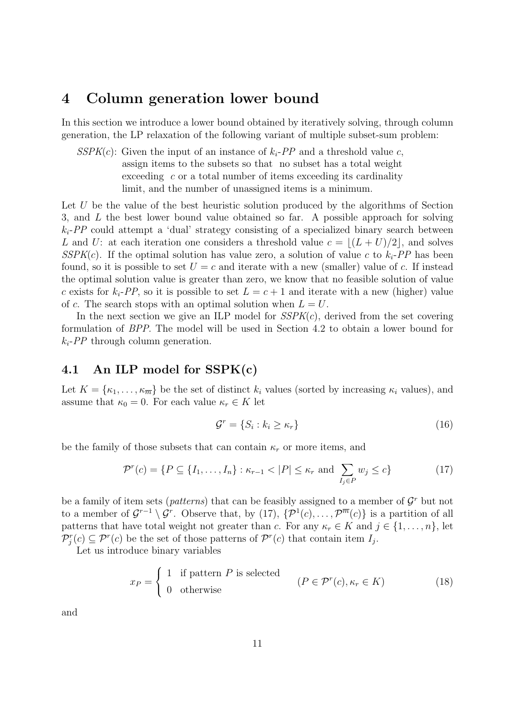### 4 Column generation lower bound

In this section we introduce a lower bound obtained by iteratively solving, through column generation, the LP relaxation of the following variant of multiple subset-sum problem:

 $SSPK(c)$ : Given the input of an instance of  $k_i$ -PP and a threshold value c, assign items to the subsets so that no subset has a total weight exceeding  $c$  or a total number of items exceeding its cardinality limit, and the number of unassigned items is a minimum.

Let U be the value of the best heuristic solution produced by the algorithms of Section 3, and L the best lower bound value obtained so far. A possible approach for solving  $k_i$ -PP could attempt a 'dual' strategy consisting of a specialized binary search between L and U: at each iteration one considers a threshold value  $c = |(L + U)/2|$ , and solves  $SSPK(c)$ . If the optimal solution has value zero, a solution of value c to  $k_i$ -PP has been found, so it is possible to set  $U = c$  and iterate with a new (smaller) value of c. If instead the optimal solution value is greater than zero, we know that no feasible solution of value c exists for  $k_i$ -PP, so it is possible to set  $L = c + 1$  and iterate with a new (higher) value of c. The search stops with an optimal solution when  $L = U$ .

In the next section we give an ILP model for  $SSPK(c)$ , derived from the set covering formulation of BPP. The model will be used in Section 4.2 to obtain a lower bound for  $k_i$ -PP through column generation.

### 4.1 An ILP model for SSPK(c)

Let  $K = \{\kappa_1, \ldots, \kappa_{\overline{m}}\}$  be the set of distinct  $k_i$  values (sorted by increasing  $\kappa_i$  values), and assume that  $\kappa_0 = 0$ . For each value  $\kappa_r \in K$  let

$$
\mathcal{G}^r = \{ S_i : k_i \ge \kappa_r \} \tag{16}
$$

be the family of those subsets that can contain  $\kappa_r$  or more items, and

$$
\mathcal{P}^r(c) = \{ P \subseteq \{I_1, \dots, I_n\} : \kappa_{r-1} < |P| \le \kappa_r \text{ and } \sum_{I_j \in P} w_j \le c \} \tag{17}
$$

be a family of item sets (*patterns*) that can be feasibly assigned to a member of  $\mathcal{G}^r$  but not to a member of  $\mathcal{G}^{r-1}\setminus\mathcal{G}^r$ . Observe that, by (17),  $\{\mathcal{P}^1(c),\ldots,\mathcal{P}^{\overline{m}}(c)\}\)$  is a partition of all patterns that have total weight not greater than c. For any  $\kappa_r \in K$  and  $j \in \{1, \ldots, n\}$ , let  $\mathcal{P}_j^r(c) \subseteq \mathcal{P}^r(c)$  be the set of those patterns of  $\mathcal{P}^r(c)$  that contain item  $I_j$ .

Let us introduce binary variables

$$
x_P = \begin{cases} 1 & \text{if pattern } P \text{ is selected} \\ 0 & \text{otherwise} \end{cases} \qquad (P \in \mathcal{P}^r(c), \kappa_r \in K) \tag{18}
$$

and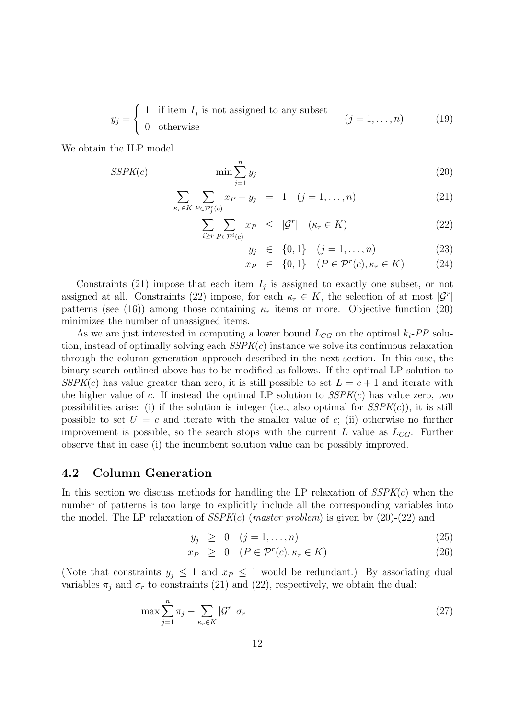$$
y_j = \begin{cases} 1 & \text{if item } I_j \text{ is not assigned to any subset} \\ 0 & \text{otherwise} \end{cases} \qquad (j = 1, ..., n) \qquad (19)
$$

We obtain the ILP model

$$
SSPK(c) \qquad \min \sum_{j=1}^{n} y_j \tag{20}
$$

$$
\sum_{\kappa_r \in K} \sum_{P \in \mathcal{P}_j^r(c)} x_P + y_j = 1 \quad (j = 1, \dots, n)
$$
 (21)

$$
\sum_{i \geq r} \sum_{P \in \mathcal{P}^i(c)} x_P \leq |\mathcal{G}^r| \quad (\kappa_r \in K) \tag{22}
$$

$$
y_j \in \{0, 1\} \quad (j = 1, \dots, n) \tag{23}
$$

$$
x_P \in \{0, 1\} \quad (P \in \mathcal{P}^r(c), \kappa_r \in K) \tag{24}
$$

Constraints (21) impose that each item  $I_j$  is assigned to exactly one subset, or not assigned at all. Constraints (22) impose, for each  $\kappa_r \in K$ , the selection of at most  $|\mathcal{G}^r|$ patterns (see (16)) among those containing  $\kappa_r$  items or more. Objective function (20) minimizes the number of unassigned items.

As we are just interested in computing a lower bound  $L_{CG}$  on the optimal  $k_i$ -PP solution, instead of optimally solving each  $SSPK(c)$  instance we solve its continuous relaxation through the column generation approach described in the next section. In this case, the binary search outlined above has to be modified as follows. If the optimal LP solution to  $SSPK(c)$  has value greater than zero, it is still possible to set  $L = c + 1$  and iterate with the higher value of c. If instead the optimal LP solution to  $SSPK(c)$  has value zero, two possibilities arise: (i) if the solution is integer (i.e., also optimal for  $SSPK(c)$ ), it is still possible to set  $U = c$  and iterate with the smaller value of c; (ii) otherwise no further improvement is possible, so the search stops with the current L value as  $L_{CG}$ . Further observe that in case (i) the incumbent solution value can be possibly improved.

#### 4.2 Column Generation

In this section we discuss methods for handling the LP relaxation of  $SSPK(c)$  when the number of patterns is too large to explicitly include all the corresponding variables into the model. The LP relaxation of  $SSPK(c)$  (*master problem*) is given by (20)-(22) and

$$
y_j \geq 0 \quad (j = 1, \dots, n) \tag{25}
$$

$$
x_P \geq 0 \quad (P \in \mathcal{P}^r(c), \kappa_r \in K) \tag{26}
$$

(Note that constraints  $y_j \leq 1$  and  $x_P \leq 1$  would be redundant.) By associating dual variables  $\pi_j$  and  $\sigma_r$  to constraints (21) and (22), respectively, we obtain the dual:

$$
\max \sum_{j=1}^{n} \pi_j - \sum_{\kappa_r \in K} |\mathcal{G}^r| \sigma_r \tag{27}
$$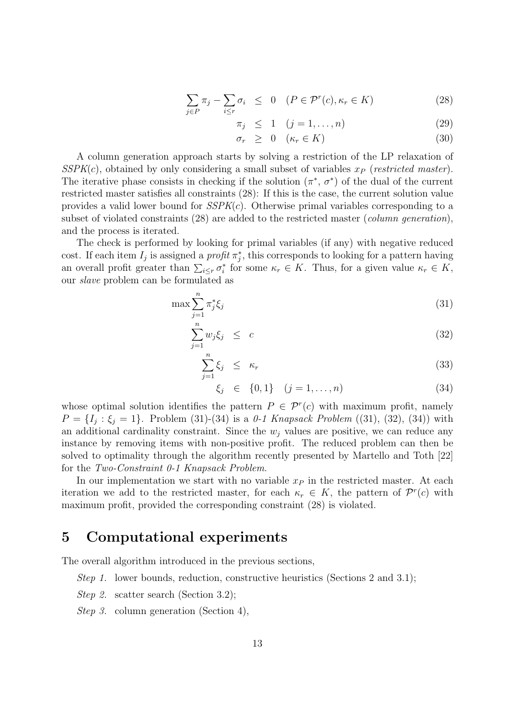$$
\sum_{j \in P} \pi_j - \sum_{i \le r} \sigma_i \le 0 \quad (P \in \mathcal{P}^r(c), \kappa_r \in K)
$$
\n(28)

$$
\pi_j \leq 1 \quad (j = 1, \dots, n) \tag{29}
$$

$$
\sigma_r \geq 0 \quad (\kappa_r \in K) \tag{30}
$$

A column generation approach starts by solving a restriction of the LP relaxation of  $SSPK(c)$ , obtained by only considering a small subset of variables  $x_P$  (restricted master). The iterative phase consists in checking if the solution  $(\pi^*, \sigma^*)$  of the dual of the current restricted master satisfies all constraints (28): If this is the case, the current solution value provides a valid lower bound for  $SSPK(c)$ . Otherwise primal variables corresponding to a subset of violated constraints (28) are added to the restricted master (*column generation*), and the process is iterated.

The check is performed by looking for primal variables (if any) with negative reduced cost. If each item  $I_j$  is assigned a *profit*  $\pi_j^*$ , this corresponds to looking for a pattern having an overall profit greater than  $\sum_{i\leq r}\sigma_i^*$  for some  $\kappa_r \in K$ . Thus, for a given value  $\kappa_r \in K$ , our slave problem can be formulated as

$$
\max \sum_{j=1}^{n} \pi_j^* \xi_j \tag{31}
$$

$$
\sum_{j=1}^{n} w_j \xi_j \leq c \tag{32}
$$

$$
\sum_{j=1}^{n} \xi_j \le \kappa_r \tag{33}
$$

$$
\xi_j \in \{0, 1\} \quad (j = 1, \dots, n) \tag{34}
$$

whose optimal solution identifies the pattern  $P \in \mathcal{P}^r(c)$  with maximum profit, namely  $P = \{I_j : \xi_j = 1\}$ . Problem (31)-(34) is a 0-1 Knapsack Problem ((31), (32), (34)) with an additional cardinality constraint. Since the  $w_i$  values are positive, we can reduce any instance by removing items with non-positive profit. The reduced problem can then be solved to optimality through the algorithm recently presented by Martello and Toth [22] for the Two-Constraint 0-1 Knapsack Problem.

In our implementation we start with no variable  $x_P$  in the restricted master. At each iteration we add to the restricted master, for each  $\kappa_r \in K$ , the pattern of  $\mathcal{P}^r(c)$  with maximum profit, provided the corresponding constraint (28) is violated.

## 5 Computational experiments

The overall algorithm introduced in the previous sections,

- *Step 1.* lower bounds, reduction, constructive heuristics (Sections 2 and 3.1);
- Step 2. scatter search (Section 3.2);
- Step 3. column generation (Section 4),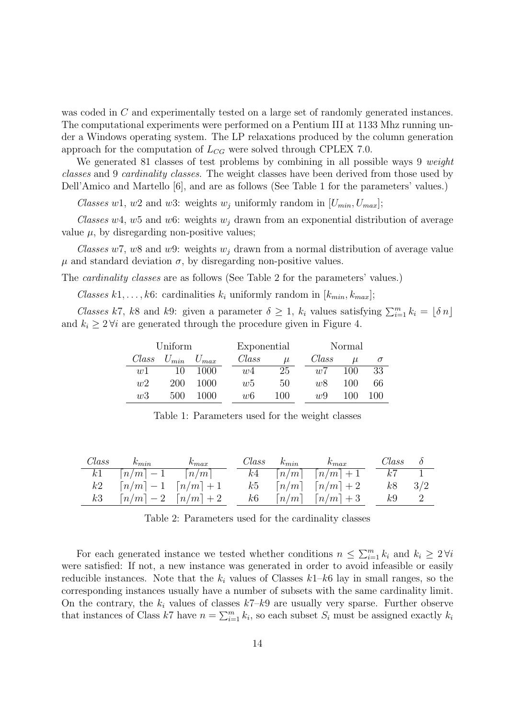was coded in C and experimentally tested on a large set of randomly generated instances. The computational experiments were performed on a Pentium III at 1133 Mhz running under a Windows operating system. The LP relaxations produced by the column generation approach for the computation of  $L_{CG}$  were solved through CPLEX 7.0.

We generated 81 classes of test problems by combining in all possible ways 9 *weight* classes and 9 cardinality classes. The weight classes have been derived from those used by Dell'Amico and Martello [6], and are as follows (See Table 1 for the parameters' values.)

Classes w1, w2 and w3: weights  $w_i$  uniformly random in  $[U_{min}, U_{max}]$ ;

Classes w4, w5 and w6: weights  $w_i$  drawn from an exponential distribution of average value  $\mu$ , by disregarding non-positive values;

Classes w7, w8 and w9: weights  $w_i$  drawn from a normal distribution of average value  $\mu$  and standard deviation  $\sigma$ , by disregarding non-positive values.

The cardinality classes are as follows (See Table 2 for the parameters' values.)

Classes k1,..., k6: cardinalities  $k_i$  uniformly random in  $[k_{min}, k_{max}]$ ;

*Classes k7*, k8 and k9: given a parameter  $\delta \geq 1$ ,  $k_i$  values satisfying  $\sum_{i=1}^{m} k_i = \lfloor \delta n \rfloor$ and  $k_i \geq 2 \forall i$  are generated through the procedure given in Figure 4.

|       | Uniform |                     | Exponential    |       |       | Normal |          |  |  |  |  |  |  |
|-------|---------|---------------------|----------------|-------|-------|--------|----------|--|--|--|--|--|--|
| Class |         | $U_{min}$ $U_{max}$ | Class          | $\mu$ | Class | $\mu$  | $\sigma$ |  |  |  |  |  |  |
| w1    | 10      | 1000                | w <sub>4</sub> | 25    | w7    | 100    | 33       |  |  |  |  |  |  |
| w2    | 200     | 1000                | w5             | 50    | w8    | 100    | 66       |  |  |  |  |  |  |
| w3    | 500     | 1000                | wб             | 100   | u.9   | 100    | 100      |  |  |  |  |  |  |

Table 1: Parameters used for the weight classes

| Class | $k_{min}$                                           | $k_{max}$ |    | $Class \t k_{min}$ | $k_{max}$                                                | $Class \delta$ |  |
|-------|-----------------------------------------------------|-----------|----|--------------------|----------------------------------------------------------|----------------|--|
| k1    | $\lceil n/m \rceil - 1$ $\lceil n/m \rceil$         |           |    |                    | $k4 \quad \lceil n/m \rceil \quad \lceil n/m \rceil + 1$ | k7             |  |
| k2    | $\lceil n/m \rceil - 1 \quad \lceil n/m \rceil + 1$ |           |    |                    | $k5 \quad \lceil n/m \rceil \quad \lceil n/m \rceil + 2$ | $k8$ 3/2       |  |
| k3    | $\lceil n/m \rceil - 2 \quad \lceil n/m \rceil + 2$ |           | k6 |                    | $\lceil n/m \rceil$ $\lceil n/m \rceil + 3$              | $k9$ 2         |  |

Table 2: Parameters used for the cardinality classes

For each generated instance we tested whether conditions  $n \leq \sum_{i=1}^{m} k_i$  and  $k_i \geq 2 \forall i$ were satisfied: If not, a new instance was generated in order to avoid infeasible or easily reducible instances. Note that the  $k_i$  values of Classes  $k1-k6$  lay in small ranges, so the corresponding instances usually have a number of subsets with the same cardinality limit. On the contrary, the  $k_i$  values of classes  $k7-k9$  are usually very sparse. Further observe that instances of Class k7 have  $n = \sum_{i=1}^{m} k_i$ , so each subset  $S_i$  must be assigned exactly  $k_i$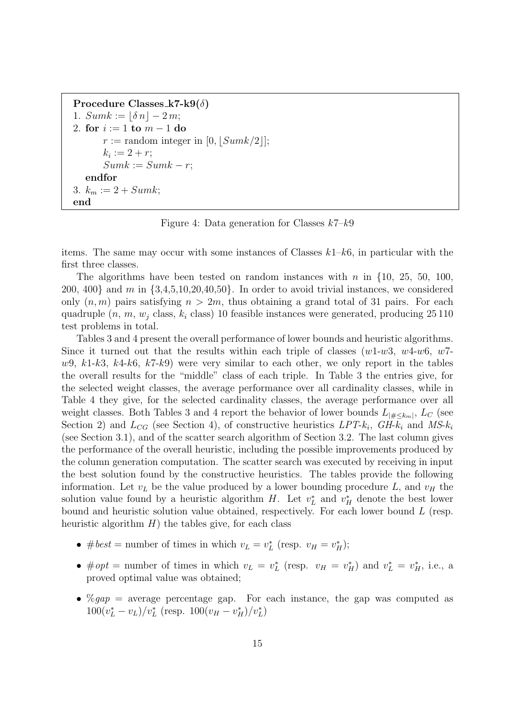```
Procedure Classes k7-k9(\delta)
1. Sumk := |\delta n| - 2m;2. for i := 1 to m - 1 do
      r := random integer in [0, |Sumk/2|];
      k_i := 2 + r;Sumk := Sumk - r;endfor
3. k_m := 2 + Sumk;end
```
Figure 4: Data generation for Classes  $k7-k9$ 

items. The same may occur with some instances of Classes  $k1-k6$ , in particular with the first three classes.

The algorithms have been tested on random instances with n in  $\{10, 25, 50, 100, \ldots\}$  $200, 400$ } and m in  $\{3,4,5,10,20,40,50\}$ . In order to avoid trivial instances, we considered only  $(n, m)$  pairs satisfying  $n > 2m$ , thus obtaining a grand total of 31 pairs. For each quadruple  $(n, m, w_i$  class,  $k_i$  class) 10 feasible instances were generated, producing 25 110 test problems in total.

Tables 3 and 4 present the overall performance of lower bounds and heuristic algorithms. Since it turned out that the results within each triple of classes  $(w1-w3, w4-w6, w7-w6)$  $w9, k1-k3, k4-k6, k7-k9$  were very similar to each other, we only report in the tables the overall results for the "middle" class of each triple. In Table 3 the entries give, for the selected weight classes, the average performance over all cardinality classes, while in Table 4 they give, for the selected cardinality classes, the average performance over all weight classes. Both Tables 3 and 4 report the behavior of lower bounds  $L_{\vert \# \leq k_m \vert}$ ,  $L_C$  (see Section 2) and  $L_{CG}$  (see Section 4), of constructive heuristics  $LPT-k_i$ ,  $GH-k_i$  and  $MS-k_i$ (see Section 3.1), and of the scatter search algorithm of Section 3.2. The last column gives the performance of the overall heuristic, including the possible improvements produced by the column generation computation. The scatter search was executed by receiving in input the best solution found by the constructive heuristics. The tables provide the following information. Let  $v<sub>L</sub>$  be the value produced by a lower bounding procedure L, and  $v<sub>H</sub>$  the solution value found by a heuristic algorithm H. Let  $v_L^*$  and  $v_H^*$  denote the best lower bound and heuristic solution value obtained, respectively. For each lower bound L (resp. heuristic algorithm  $H$ ) the tables give, for each class

- #best = number of times in which  $v_L = v_L^*$  (resp.  $v_H = v_H^*$ );
- #opt = number of times in which  $v_L = v_L^*$  (resp.  $v_H = v_H^*$ ) and  $v_L^* = v_H^*$ , i.e., a proved optimal value was obtained;
- $\mathcal{C}qap =$  average percentage gap. For each instance, the gap was computed as  $100(v_L^* - v_L)/v_L^*$  (resp.  $100(v_H - v_H^*)/v_L^*)$ )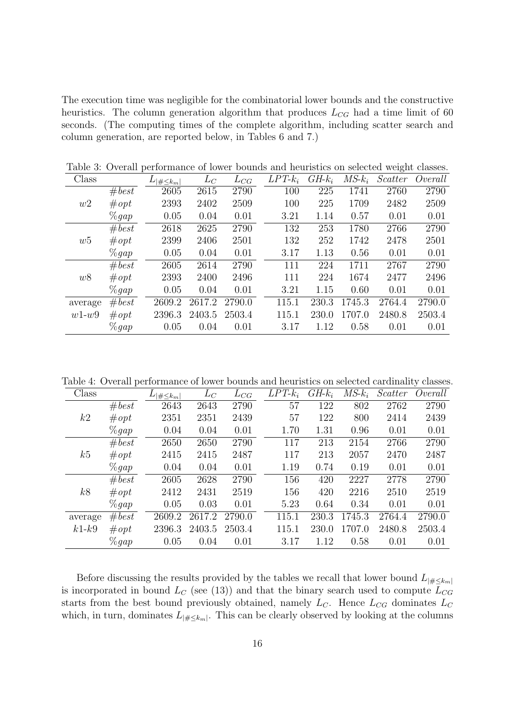The execution time was negligible for the combinatorial lower bounds and the constructive heuristics. The column generation algorithm that produces  $L_{CG}$  had a time limit of 60 seconds. (The computing times of the complete algorithm, including scatter search and column generation, are reported below, in Tables 6 and 7.)

| Class   |          | $ \#\leq k_m $ | $L_C$  | $L_{CG}$ | $LPT-k_i$ | $GH-k_i$ | $MS\text{-}k_i$ | Scatter | Overall |
|---------|----------|----------------|--------|----------|-----------|----------|-----------------|---------|---------|
|         | #best    | 2605           | 2615   | 2790     | 100       | 225      | 1741            | 2760    | 2790    |
| w2      | #opt     | 2393           | 2402   | 2509     | 100       | 225      | 1709            | 2482    | 2509    |
|         | $\%gap$  | 0.05           | 0.04   | 0.01     | 3.21      | 1.14     | 0.57            | 0.01    | 0.01    |
|         | #best    | 2618           | 2625   | 2790     | 132       | 253      | 1780            | 2766    | 2790    |
| w5      | #opt     | 2399           | 2406   | 2501     | 132       | 252      | 1742            | 2478    | 2501    |
|         | $\%gap$  | 0.05           | 0.04   | 0.01     | 3.17      | 1.13     | 0.56            | 0.01    | 0.01    |
|         | #best    | 2605           | 2614   | 2790     | 111       | 224      | 1711            | 2767    | 2790    |
| w8      | #opt     | 2393           | 2400   | 2496     | 111       | 224      | 1674            | 2477    | 2496    |
|         | $\%$ qap | 0.05           | 0.04   | 0.01     | 3.21      | 1.15     | 0.60            | 0.01    | 0.01    |
| average | #best    | 2609.2         | 2617.2 | 2790.0   | 115.1     | 230.3    | 1745.3          | 2764.4  | 2790.0  |
| $w1-w9$ | #opt     | 2396.3         | 2403.5 | 2503.4   | 115.1     | 230.0    | 1707.0          | 2480.8  | 2503.4  |
|         | $\%gap$  | 0.05           | 0.04   | 0.01     | 3.17      | 1.12     | 0.58            | 0.01    | 0.01    |

Table 3: Overall performance of lower bounds and heuristics on selected weight classes.

Table 4: Overall performance of lower bounds and heuristics on selected cardinality classes.

| Class   |         | $ \#\leq k_m $ | $L_C$  | $L_{CG}$ | $LPT-k_i$ | $GH-k_i$ | $MS\text{-}k_i$ | Scatter | Overall |
|---------|---------|----------------|--------|----------|-----------|----------|-----------------|---------|---------|
|         | #best   | 2643           | 2643   | 2790     | 57        | 122      | 802             | 2762    | 2790    |
| k2      | #opt    | 2351           | 2351   | 2439     | 57        | 122      | 800             | 2414    | 2439    |
|         | $\%gap$ | 0.04           | 0.04   | 0.01     | 1.70      | 1.31     | 0.96            | 0.01    | 0.01    |
|         | #best   | 2650           | 2650   | 2790     | 117       | 213      | 2154            | 2766    | 2790    |
| k5      | #opt    | 2415           | 2415   | 2487     | 117       | 213      | 2057            | 2470    | 2487    |
|         | $\%gap$ | 0.04           | 0.04   | 0.01     | 1.19      | 0.74     | 0.19            | 0.01    | 0.01    |
|         | #best   | 2605           | 2628   | 2790     | 156       | 420      | 2227            | 2778    | 2790    |
| k8      | #opt    | 2412           | 2431   | 2519     | 156       | 420      | 2216            | 2510    | 2519    |
|         | $\%gap$ | 0.05           | 0.03   | 0.01     | 5.23      | 0.64     | 0.34            | 0.01    | 0.01    |
| average | # best  | 2609.2         | 2617.2 | 2790.0   | 115.1     | 230.3    | 1745.3          | 2764.4  | 2790.0  |
| $k1-k9$ | #opt    | 2396.3         | 2403.5 | 2503.4   | 115.1     | 230.0    | 1707.0          | 2480.8  | 2503.4  |
|         | $\%gap$ | 0.05           | 0.04   | 0.01     | 3.17      | 1.12     | 0.58            | 0.01    | 0.01    |

Before discussing the results provided by the tables we recall that lower bound  $L_{|\#\leq k_m|}$ is incorporated in bound  $L_C$  (see (13)) and that the binary search used to compute  $L_{CG}$ starts from the best bound previously obtained, namely  $L_C$ . Hence  $L_{CG}$  dominates  $L_C$ which, in turn, dominates  $L_{\mid \# \leq k_m \mid}$ . This can be clearly observed by looking at the columns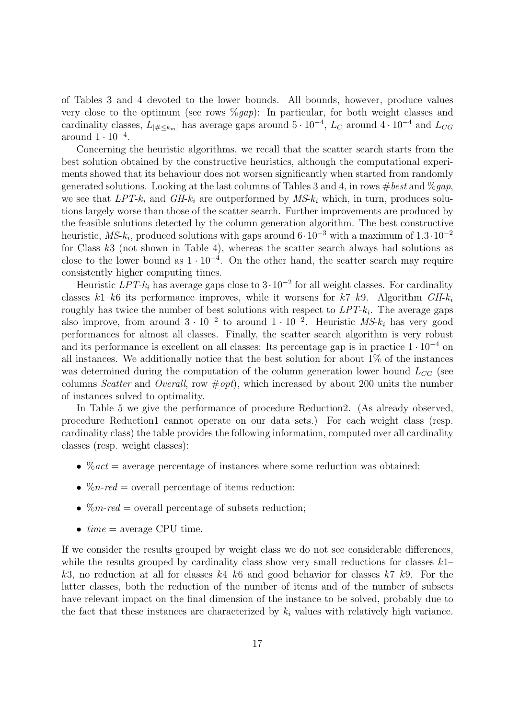of Tables 3 and 4 devoted to the lower bounds. All bounds, however, produce values very close to the optimum (see rows  $\mathcal{C}(gap)$ : In particular, for both weight classes and cardinality classes,  $L_{|\#\leq k_m|}$  has average gaps around  $5 \cdot 10^{-4}$ ,  $L_C$  around  $4 \cdot 10^{-4}$  and  $L_{CG}$ around  $1 \cdot 10^{-4}$ .

Concerning the heuristic algorithms, we recall that the scatter search starts from the best solution obtained by the constructive heuristics, although the computational experiments showed that its behaviour does not worsen significantly when started from randomly generated solutions. Looking at the last columns of Tables 3 and 4, in rows  $\# best$  and  $\%$  *qap*, we see that  $LPT-k_i$  and  $GH-k_i$  are outperformed by  $MS-k_i$  which, in turn, produces solutions largely worse than those of the scatter search. Further improvements are produced by the feasible solutions detected by the column generation algorithm. The best constructive heuristic, MS- $k_i$ , produced solutions with gaps around  $6 \cdot 10^{-3}$  with a maximum of  $1.3 \cdot 10^{-2}$ for Class  $k3$  (not shown in Table 4), whereas the scatter search always had solutions as close to the lower bound as  $1 \cdot 10^{-4}$ . On the other hand, the scatter search may require consistently higher computing times.

Heuristic  $LPT-k_i$  has average gaps close to  $3 \cdot 10^{-2}$  for all weight classes. For cardinality classes  $k1-k6$  its performance improves, while it worsens for  $k7-k9$ . Algorithm  $GH-k<sub>i</sub>$ roughly has twice the number of best solutions with respect to  $LPT-k<sub>i</sub>$ . The average gaps also improve, from around  $3 \cdot 10^{-2}$  to around  $1 \cdot 10^{-2}$ . Heuristic  $MS\text{-}k_i$  has very good performances for almost all classes. Finally, the scatter search algorithm is very robust and its performance is excellent on all classes: Its percentage gap is in practice  $1 \cdot 10^{-4}$  on all instances. We additionally notice that the best solution for about 1% of the instances was determined during the computation of the column generation lower bound  $L_{CG}$  (see columns Scatter and Overall, row  $\# opt$ , which increased by about 200 units the number of instances solved to optimality.

In Table 5 we give the performance of procedure Reduction2. (As already observed, procedure Reduction1 cannot operate on our data sets.) For each weight class (resp. cardinality class) the table provides the following information, computed over all cardinality classes (resp. weight classes):

- $\%$  act = average percentage of instances where some reduction was obtained;
- $\%n-red = overall percentage of items reduction;$
- $\%m$ -red = overall percentage of subsets reduction;
- $time = average CPU time$ .

If we consider the results grouped by weight class we do not see considerable differences, while the results grouped by cardinality class show very small reductions for classes  $k_1$ – k3, no reduction at all for classes  $k4-k6$  and good behavior for classes  $k7-k9$ . For the latter classes, both the reduction of the number of items and of the number of subsets have relevant impact on the final dimension of the instance to be solved, probably due to the fact that these instances are characterized by  $k_i$  values with relatively high variance.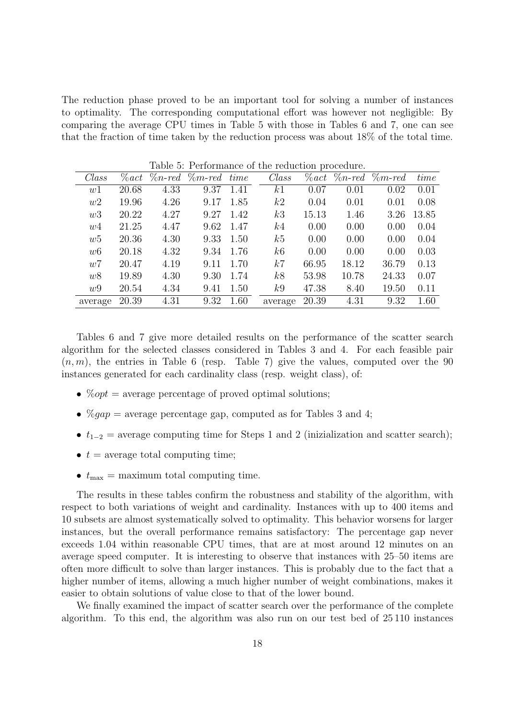The reduction phase proved to be an important tool for solving a number of instances to optimality. The corresponding computational effort was however not negligible: By comparing the average CPU times in Table 5 with those in Tables 6 and 7, one can see that the fraction of time taken by the reduction process was about 18% of the total time.

|         |          |           |                 |           | $\sim$ 0.10111.011.00 or 0.10 roughout procedure. |          |       |                       |       |
|---------|----------|-----------|-----------------|-----------|---------------------------------------------------|----------|-------|-----------------------|-------|
| Class   | $\%$ act | $\%n-red$ | $\%m$ -red time |           | Class                                             | $\%$ act |       | $\%n-red \$ $\%m-red$ | time  |
| w1      | 20.68    | 4.33      | 9.37            | 1.41      | k1                                                | 0.07     | 0.01  | 0.02                  | 0.01  |
| w2      | 19.96    | 4.26      | 9.17            | 1.85      | k2                                                | 0.04     | 0.01  | 0.01                  | 0.08  |
| w3      | 20.22    | 4.27      | 9.27            | 1.42      | k3                                                | 15.13    | 1.46  | 3.26                  | 13.85 |
| w4      | 21.25    | 4.47      |                 | 9.62 1.47 | k4                                                | 0.00     | 0.00  | 0.00                  | 0.04  |
| w5      | 20.36    | 4.30      | 9.33            | 1.50      | k5                                                | 0.00     | 0.00  | 0.00                  | 0.04  |
| w6      | 20.18    | 4.32      | 9.34            | 1.76      | k6                                                | 0.00     | 0.00  | 0.00                  | 0.03  |
| w7      | 20.47    | 4.19      | 9.11            | 1.70      | k7                                                | 66.95    | 18.12 | 36.79                 | 0.13  |
| w8      | 19.89    | 4.30      | 9.30            | 1.74      | k8                                                | 53.98    | 10.78 | 24.33                 | 0.07  |
| w9      | 20.54    | 4.34      | 9.41            | 1.50      | k9                                                | 47.38    | 8.40  | 19.50                 | 0.11  |
| average | 20.39    | 4.31      | 9.32            | 1.60      | average                                           | 20.39    | 4.31  | 9.32                  | 1.60  |

Table 5: Performance of the reduction procedure.

Tables 6 and 7 give more detailed results on the performance of the scatter search algorithm for the selected classes considered in Tables 3 and 4. For each feasible pair  $(n, m)$ , the entries in Table 6 (resp. Table 7) give the values, computed over the 90 instances generated for each cardinality class (resp. weight class), of:

- $\%opt = \text{average percentage of proved optimal solutions};$
- $\%gap = \text{average percentage gap}$ , computed as for Tables 3 and 4;
- $t_{1-2}$  = average computing time for Steps 1 and 2 (inizialization and scatter search);
- $t =$  average total computing time;
- $t_{\text{max}} =$  maximum total computing time.

The results in these tables confirm the robustness and stability of the algorithm, with respect to both variations of weight and cardinality. Instances with up to 400 items and 10 subsets are almost systematically solved to optimality. This behavior worsens for larger instances, but the overall performance remains satisfactory: The percentage gap never exceeds 1.04 within reasonable CPU times, that are at most around 12 minutes on an average speed computer. It is interesting to observe that instances with 25–50 items are often more difficult to solve than larger instances. This is probably due to the fact that a higher number of items, allowing a much higher number of weight combinations, makes it easier to obtain solutions of value close to that of the lower bound.

We finally examined the impact of scatter search over the performance of the complete algorithm. To this end, the algorithm was also run on our test bed of 25 110 instances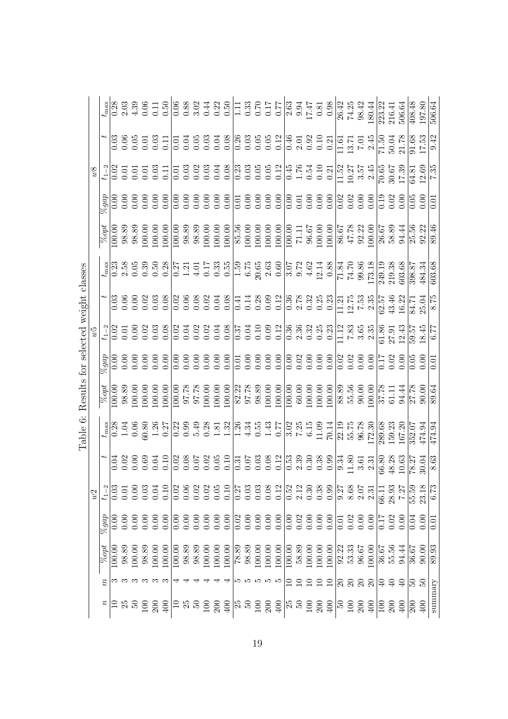|                                     |            |                    |        |           |              |       |        |        |        |       |       |                  |        |                                                                                                                                                                                                                                                                                                               |                |       |                  |                                                             |                                                                                                                                                                                                                                                                             |                   |        |                                                     |        |        |              |                                                             |       | 26.42<br>74.25<br>98.42<br>180.44 | $\frac{223.22}{216.41}$<br>506.64 |          |                                                                                                                                                                                                                                                                                                                                                                 | $\frac{408.48}{ }$ | 197.80       | 506.64            |
|-------------------------------------|------------|--------------------|--------|-----------|--------------|-------|--------|--------|--------|-------|-------|------------------|--------|---------------------------------------------------------------------------------------------------------------------------------------------------------------------------------------------------------------------------------------------------------------------------------------------------------------|----------------|-------|------------------|-------------------------------------------------------------|-----------------------------------------------------------------------------------------------------------------------------------------------------------------------------------------------------------------------------------------------------------------------------|-------------------|--------|-----------------------------------------------------|--------|--------|--------------|-------------------------------------------------------------|-------|-----------------------------------|-----------------------------------|----------|-----------------------------------------------------------------------------------------------------------------------------------------------------------------------------------------------------------------------------------------------------------------------------------------------------------------------------------------------------------------|--------------------|--------------|-------------------|
|                                     |            |                    |        |           |              |       |        |        |        |       |       |                  |        |                                                                                                                                                                                                                                                                                                               |                |       |                  |                                                             |                                                                                                                                                                                                                                                                             |                   |        |                                                     |        |        |              |                                                             |       |                                   |                                   |          |                                                                                                                                                                                                                                                                                                                                                                 |                    |              | $\sqrt{9.42}$     |
|                                     |            |                    |        |           |              |       |        |        |        |       |       |                  |        |                                                                                                                                                                                                                                                                                                               |                |       |                  |                                                             |                                                                                                                                                                                                                                                                             |                   |        |                                                     |        |        |              |                                                             |       |                                   |                                   |          |                                                                                                                                                                                                                                                                                                                                                                 |                    |              |                   |
|                                     |            | $q$ ab             |        |           |              |       |        |        |        |       |       |                  |        |                                                                                                                                                                                                                                                                                                               |                |       |                  |                                                             |                                                                                                                                                                                                                                                                             |                   |        |                                                     |        |        |              |                                                             |       |                                   |                                   |          |                                                                                                                                                                                                                                                                                                                                                                 |                    |              | $\overline{0}$    |
|                                     |            | $\sqrt{2}$         |        |           |              |       |        |        |        |       |       |                  |        |                                                                                                                                                                                                                                                                                                               |                |       |                  |                                                             | $\begin{array}{l} 33.83 & 53.63 & 53.63 & 53.63 & 53.63 \\ 53.83 & 53.63 & 53.63 & 53.63 & 53.63 \\ 53.83 & 53.63 & 53.63 & 53.63 & 53.64 \\ 53.83 & 53.63 & 53.63 & 53.63 & 53.64 \\ 53.83 & 53.63 & 53.63 & 53.64 \\ 53.83 & 53.63 & 53.63 & 53.64 \\ 53.83 & 53.63 & 53$ |                   |        |                                                     |        |        |              |                                                             |       |                                   |                                   |          |                                                                                                                                                                                                                                                                                                                                                                 |                    |              | 89.46             |
|                                     |            | $t_{\rm max}$      |        |           |              |       |        |        |        |       |       |                  |        |                                                                                                                                                                                                                                                                                                               |                |       |                  |                                                             |                                                                                                                                                                                                                                                                             |                   |        |                                                     |        |        |              |                                                             |       |                                   |                                   |          |                                                                                                                                                                                                                                                                                                                                                                 |                    |              | 603.68            |
|                                     |            |                    |        |           |              |       |        |        |        |       |       |                  |        |                                                                                                                                                                                                                                                                                                               |                |       |                  |                                                             |                                                                                                                                                                                                                                                                             |                   |        |                                                     |        |        |              |                                                             |       |                                   |                                   |          |                                                                                                                                                                                                                                                                                                                                                                 |                    |              | $\overline{8.75}$ |
|                                     |            |                    |        |           |              |       |        |        |        |       |       |                  |        |                                                                                                                                                                                                                                                                                                               |                |       |                  |                                                             |                                                                                                                                                                                                                                                                             |                   |        |                                                     |        |        |              |                                                             |       |                                   |                                   |          |                                                                                                                                                                                                                                                                                                                                                                 |                    |              |                   |
|                                     |            | dab <sub>9</sub>   | 0.00   |           |              |       |        |        |        |       |       |                  |        |                                                                                                                                                                                                                                                                                                               |                |       |                  |                                                             | 88888888888888888888888888555888                                                                                                                                                                                                                                            |                   |        |                                                     |        |        |              |                                                             |       |                                   |                                   |          |                                                                                                                                                                                                                                                                                                                                                                 |                    | 0.00         | $\overline{0}$    |
| Results for selected weight classes |            | $\sqrt{8}opt$      | 100.00 | 98.89     |              |       |        |        |        |       |       |                  |        |                                                                                                                                                                                                                                                                                                               |                |       |                  |                                                             |                                                                                                                                                                                                                                                                             |                   |        |                                                     |        |        |              |                                                             |       |                                   |                                   |          |                                                                                                                                                                                                                                                                                                                                                                 |                    |              | 89.64             |
| Table 6:                            |            |                    |        |           |              |       |        |        |        |       |       |                  |        |                                                                                                                                                                                                                                                                                                               |                |       |                  |                                                             | $t_{\text{max}}^{18}$ and the set of the set of the set of the set of the set of the set of the set of the set of the set of the set of the set of the set of the set of the set of the set of the set of the set of the set of the s                                       |                   |        |                                                     |        |        |              |                                                             |       |                                   |                                   |          | $\begin{array}{r} 22.19 \\ 55.75 \\ 56.78 \\ 96.78 \\ 172.30 \\ 159.63 \\ 167.20 \\ 167.20 \\ 167.20 \\ 352.07 \\ 474.94 \\ \end{array}$                                                                                                                                                                                                                        |                    |              | 474.94            |
|                                     |            |                    |        |           |              |       |        |        |        |       |       |                  |        |                                                                                                                                                                                                                                                                                                               |                |       |                  |                                                             |                                                                                                                                                                                                                                                                             |                   |        |                                                     |        |        |              |                                                             |       |                                   |                                   |          | $\begin{array}{r} \n 34.80 \\  - 3.61 \\  3.61 \\  - 3.61 \\  - 3.61 \\  - 3.61 \\  - 3.61 \\  - 3.61 \\  - 3.61 \\  - 3.61 \\  - 3.61 \\  - 3.61 \\  - 3.61 \\  - 3.61 \\  - 3.61 \\  - 3.61 \\  - 3.61 \\  - 3.61 \\  - 3.61 \\  - 3.61 \\  - 3.61 \\  - 3.61 \\  - 3.61 \\  - 3.61 \\  - 3.61 \\  - 3.61 \\  - 3.61 \\  - 3.61 \\  - 3.61 \\  - 3.61 \\  - $ |                    |              | 8.63              |
|                                     | $\omega$ 2 |                    |        |           | 0.00         | 0.03  | 0.04   | 0.10   |        |       |       |                  |        | $\begin{array}{r} 0.02 \\ 0.06 \\ 0.01 \\ 0.03 \\ 0.05 \\ 0.05 \\ 0.12 \\ 0.27 \\ 0.27 \\ 0.27 \\ 0.27 \\ 0.27 \\ 0.27 \\ 0.27 \\ 0.27 \\ 0.27 \\ 0.27 \\ 0.27 \\ 0.27 \\ 0.27 \\ 0.27 \\ 0.27 \\ 0.27 \\ 0.27 \\ 0.27 \\ 0.27 \\ 0.27 \\ 0.27 \\ 0.27 \\ 0.27 \\ 0.27 \\ 0.27 \\ 0.27 \\ 0.27 \\ 0.27 \\ 0.$ |                |       |                  | $\begin{array}{c} 0.03 \\ 0.03 \\ 0.08 \\ 0.12 \end{array}$ |                                                                                                                                                                                                                                                                             | $\overline{0.52}$ |        | $\begin{array}{c} 2.12 \\ 0.30 \\ 0.38 \end{array}$ |        | 0.99   |              | 0.37<br>0.305<br>0.30 0.31                                  |       |                                   | 66.11                             | 28.93    | 7.27                                                                                                                                                                                                                                                                                                                                                            | 55.59              | 23.18        | 6.73              |
|                                     |            | $\%gap$            | 0.00   | 0.00      | 0.00         | 0.00  | 0.00   | 0.00   |        |       |       |                  |        | 888888<br>000000                                                                                                                                                                                                                                                                                              |                |       |                  |                                                             | 0.8880                                                                                                                                                                                                                                                                      |                   |        | 8 8 8 8 8<br>  0 8 8 8 9<br> 0 0 0 0 0              |        |        |              | $\begin{array}{c} 0.01 \\ 0.02 \\ 0.00 \\ 0.00 \end{array}$ |       |                                   | $0.17$<br>0.02                    |          | 0.00                                                                                                                                                                                                                                                                                                                                                            | 0.04               | 0.00         | $\rm{C}$          |
|                                     |            | $\overline{\%opt}$ | 100.00 | 89<br>98. | 100.00       | 98.89 | 100.00 | 100.00 | 100.00 | 98.89 | 98.89 | 100.00           | 100.00 | 100.00                                                                                                                                                                                                                                                                                                        | 78.89          | 98.89 | 100.00           | 100.00                                                      | 100.00                                                                                                                                                                                                                                                                      | 100.00            | 58.89  | 100.00                                              | 100.00 | 100.00 | 92.22        | 53.33                                                       | 96.67 | 100.00                            | 36.67                             | 55.56    | 94.44                                                                                                                                                                                                                                                                                                                                                           | 36.67              | 90.00        | 89.93             |
|                                     |            | E                  |        |           |              |       | က က    |        |        |       |       |                  |        |                                                                                                                                                                                                                                                                                                               |                |       |                  | 10 10 10 10 10                                              |                                                                                                                                                                                                                                                                             | $\Xi$             | $\Box$ | $\Box$                                              | $\Box$ | $\Box$ |              | នននន                                                        |       |                                   | ₽                                 | $\Theta$ | $\Theta$                                                                                                                                                                                                                                                                                                                                                        | S.                 | $50^{\circ}$ |                   |
|                                     |            | $\boldsymbol{z}$   |        | 25        | $50^{\circ}$ | $\Xi$ | 200    | 400    |        | 188   |       | $\overline{100}$ | 200    | 400                                                                                                                                                                                                                                                                                                           | $\frac{5}{25}$ |       | $\overline{100}$ | 200                                                         | 400                                                                                                                                                                                                                                                                         | $\mathbb{E}$ ន    |        | $\overline{100}$                                    | 200    | 400    | $\mathbb{E}$ | $\frac{0}{200}$                                             |       | $rac{1}{2}$                       | $\Xi$                             | 200      | $\overline{6}$                                                                                                                                                                                                                                                                                                                                                  | 200                | 400          | summary           |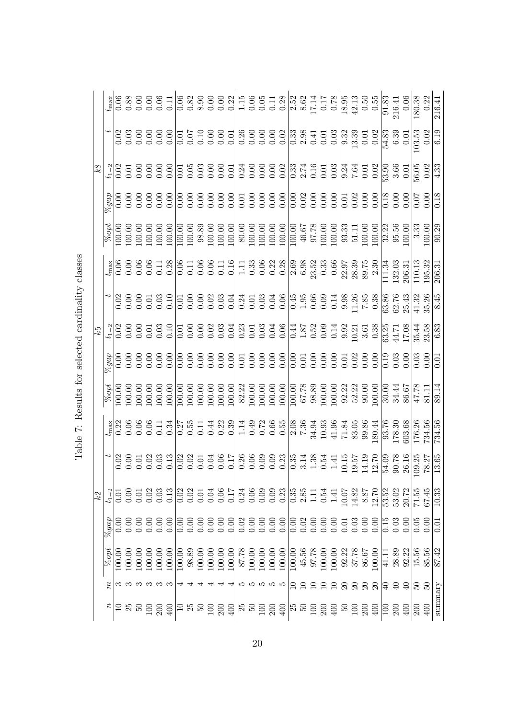|    |                            |               |        |                  |        |                                                 |                     |       |        |                   |        |        |                     |        |                  |             |             |                                |       |                  |                                                         |             |                |                                                                    |       |                                         |                               |     |                                                   |                  | discussion discussion di suore di suore di suore di suore di suore di suore di suore di suore di suore di suo<br>"Il suore di suore di suore di suore di suore di suore di suore di suore di suore di suore di suore di suore d                                                                                                                                                                                                                    |                  |
|----|----------------------------|---------------|--------|------------------|--------|-------------------------------------------------|---------------------|-------|--------|-------------------|--------|--------|---------------------|--------|------------------|-------------|-------------|--------------------------------|-------|------------------|---------------------------------------------------------|-------------|----------------|--------------------------------------------------------------------|-------|-----------------------------------------|-------------------------------|-----|---------------------------------------------------|------------------|----------------------------------------------------------------------------------------------------------------------------------------------------------------------------------------------------------------------------------------------------------------------------------------------------------------------------------------------------------------------------------------------------------------------------------------------------|------------------|
|    |                            |               |        |                  |        |                                                 |                     |       |        |                   |        |        |                     |        |                  |             |             |                                |       |                  |                                                         |             |                |                                                                    |       |                                         |                               |     |                                                   |                  |                                                                                                                                                                                                                                                                                                                                                                                                                                                    | 0.18             |
|    |                            |               |        |                  |        |                                                 |                     |       |        |                   |        |        |                     |        |                  |             |             |                                |       |                  |                                                         |             |                |                                                                    |       |                                         |                               |     |                                                   |                  |                                                                                                                                                                                                                                                                                                                                                                                                                                                    |                  |
|    |                            |               |        |                  |        |                                                 |                     |       |        |                   |        |        |                     |        |                  |             |             |                                |       |                  |                                                         |             |                |                                                                    |       |                                         |                               |     |                                                   |                  |                                                                                                                                                                                                                                                                                                                                                                                                                                                    |                  |
|    |                            |               |        |                  |        |                                                 |                     |       |        |                   |        |        |                     |        |                  |             |             |                                |       |                  |                                                         |             |                |                                                                    |       |                                         |                               |     |                                                   |                  |                                                                                                                                                                                                                                                                                                                                                                                                                                                    | 8.45             |
|    |                            |               |        |                  |        |                                                 |                     |       |        |                   |        |        |                     |        |                  |             |             |                                |       |                  |                                                         |             |                |                                                                    |       |                                         |                               |     |                                                   |                  |                                                                                                                                                                                                                                                                                                                                                                                                                                                    | 6.83             |
|    |                            |               |        |                  |        |                                                 |                     |       |        |                   |        |        |                     |        |                  |             |             |                                |       |                  |                                                         |             |                |                                                                    |       |                                         |                               |     |                                                   |                  |                                                                                                                                                                                                                                                                                                                                                                                                                                                    | $\overline{0.0}$ |
|    |                            |               |        |                  |        |                                                 |                     |       |        |                   |        |        |                     |        |                  |             |             |                                |       |                  |                                                         |             |                |                                                                    |       |                                         |                               |     |                                                   |                  |                                                                                                                                                                                                                                                                                                                                                                                                                                                    |                  |
|    |                            |               |        |                  |        |                                                 |                     |       |        |                   |        |        |                     |        |                  |             |             |                                |       |                  |                                                         |             |                |                                                                    |       |                                         |                               |     |                                                   |                  | $\begin{array}{l} \frac{1}{4} \left  \frac{1}{2} \right  \frac{1}{2} \left  \frac{1}{2} \right  \frac{1}{2} \left  \frac{1}{2} \right  \frac{1}{2} \left  \frac{1}{2} \right  \frac{1}{2} \left  \frac{1}{2} \right  \frac{1}{2} \left  \frac{1}{2} \right  \frac{1}{2} \left  \frac{1}{2} \right  \frac{1}{2} \left  \frac{1}{2} \right  \frac{1}{2} \left  \frac{1}{2} \right  \frac{1}{2} \left  \frac{1}{2} \right  \frac{1}{2} \left  \frac{$ |                  |
|    |                            |               |        |                  |        |                                                 |                     |       |        |                   |        |        |                     |        |                  |             |             |                                |       |                  |                                                         |             |                |                                                                    |       |                                         |                               |     |                                                   |                  |                                                                                                                                                                                                                                                                                                                                                                                                                                                    |                  |
| k2 |                            |               |        |                  |        |                                                 |                     |       |        |                   |        |        |                     |        |                  |             |             |                                |       |                  |                                                         |             |                |                                                                    |       | $\frac{10.07}{14.82}$<br>14.87<br>12.70 | 53.52<br>53.02                |     | $\frac{20.72}{71.55}$                             |                  | 67.45                                                                                                                                                                                                                                                                                                                                                                                                                                              | 10.33            |
|    | $\mathbb{z}^{bad}$         |               | 0.00   |                  |        |                                                 |                     |       |        |                   |        |        |                     |        |                  |             |             |                                |       |                  |                                                         |             |                | $\begin{array}{c} 1.6 & 1.6 \\ 1.6 & 1.6 \\ 1.6 & 1.6 \end{array}$ |       | 0.00                                    |                               |     | $\begin{array}{c} 15 \\ 0.03 \\ 0.00 \end{array}$ | 0.05             | 0.00                                                                                                                                                                                                                                                                                                                                                                                                                                               | 0.0              |
|    | $\overline{\%} opt$        | 100.00        | 100.00 | 100.00           | 100.00 | 100.00                                          | $100.\overline{00}$ | 98.89 | 100.00 | 100.00            | 100.00 | 100.00 | 87.78               | 100.00 | 100.00           | 100.00      | 100.00      | $\frac{100.00}{\frac{1}{200}}$ |       |                  | $\begin{array}{c} 45.56 \\ 97.78 \\ 100.00 \end{array}$ | 100.00      | 92.22<br>37.78 |                                                                    | 86.67 | 00.00                                   | 41.11                         |     | $\frac{28.89}{92.22}$                             | 15.56            | 85.56                                                                                                                                                                                                                                                                                                                                                                                                                                              | 87.42            |
|    | $\tilde{n}$                | တေး တေး တေး တ |        |                  |        |                                                 |                     |       |        |                   |        |        |                     |        |                  | ြော က က က က |             | $\Xi$                          | $\Xi$ | $\Xi$            | $\frac{10}{11}$                                         |             |                |                                                                    |       | 888                                     | $\frac{10}{7}$ $\frac{10}{7}$ |     |                                                   | $\mathbb{E}$     | PS                                                                                                                                                                                                                                                                                                                                                                                                                                                 |                  |
|    | $\boldsymbol{\mathcal{Z}}$ | $\Xi$ ង ន     |        | $\frac{50}{200}$ |        | $\frac{100}{2}$ $\frac{100}{2}$ $\frac{100}{2}$ |                     |       |        | $\frac{200}{200}$ |        |        | $\frac{2}{3}$ ន្រ ន |        | $\overline{100}$ | 200         | $rac{1}{4}$ | $\mathbb{E}$ ន                 |       | $\overline{100}$ | 200                                                     | $rac{1}{2}$ |                |                                                                    |       | $rac{1}{2}$                             | $\overline{\Xi}$              | 200 | 400                                               | $\overline{200}$ | 400                                                                                                                                                                                                                                                                                                                                                                                                                                                | summary          |

Table 7: Results for selected cardinality classes Table 7: Results for selected cardinality classes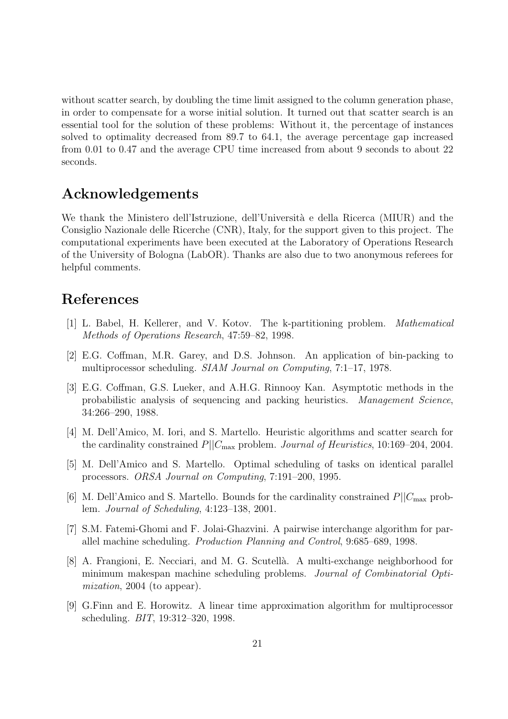without scatter search, by doubling the time limit assigned to the column generation phase, in order to compensate for a worse initial solution. It turned out that scatter search is an essential tool for the solution of these problems: Without it, the percentage of instances solved to optimality decreased from 89.7 to 64.1, the average percentage gap increased from 0.01 to 0.47 and the average CPU time increased from about 9 seconds to about 22 seconds.

## Acknowledgements

We thank the Ministero dell'Istruzione, dell'Università e della Ricerca (MIUR) and the Consiglio Nazionale delle Ricerche (CNR), Italy, for the support given to this project. The computational experiments have been executed at the Laboratory of Operations Research of the University of Bologna (LabOR). Thanks are also due to two anonymous referees for helpful comments.

# References

- [1] L. Babel, H. Kellerer, and V. Kotov. The k-partitioning problem. Mathematical Methods of Operations Research, 47:59–82, 1998.
- [2] E.G. Coffman, M.R. Garey, and D.S. Johnson. An application of bin-packing to multiprocessor scheduling. SIAM Journal on Computing, 7:1–17, 1978.
- [3] E.G. Coffman, G.S. Lueker, and A.H.G. Rinnooy Kan. Asymptotic methods in the probabilistic analysis of sequencing and packing heuristics. Management Science, 34:266–290, 1988.
- [4] M. Dell'Amico, M. Iori, and S. Martello. Heuristic algorithms and scatter search for the cardinality constrained  $P||C_{\text{max}}$  problem. *Journal of Heuristics*, 10:169–204, 2004.
- [5] M. Dell'Amico and S. Martello. Optimal scheduling of tasks on identical parallel processors. ORSA Journal on Computing, 7:191–200, 1995.
- [6] M. Dell'Amico and S. Martello. Bounds for the cardinality constrained  $P||C_{\text{max}}$  problem. Journal of Scheduling, 4:123–138, 2001.
- [7] S.M. Fatemi-Ghomi and F. Jolai-Ghazvini. A pairwise interchange algorithm for parallel machine scheduling. Production Planning and Control, 9:685–689, 1998.
- [8] A. Frangioni, E. Necciari, and M. G. Scutellà. A multi-exchange neighborhood for minimum makespan machine scheduling problems. Journal of Combinatorial Optimization, 2004 (to appear).
- [9] G.Finn and E. Horowitz. A linear time approximation algorithm for multiprocessor scheduling. BIT, 19:312–320, 1998.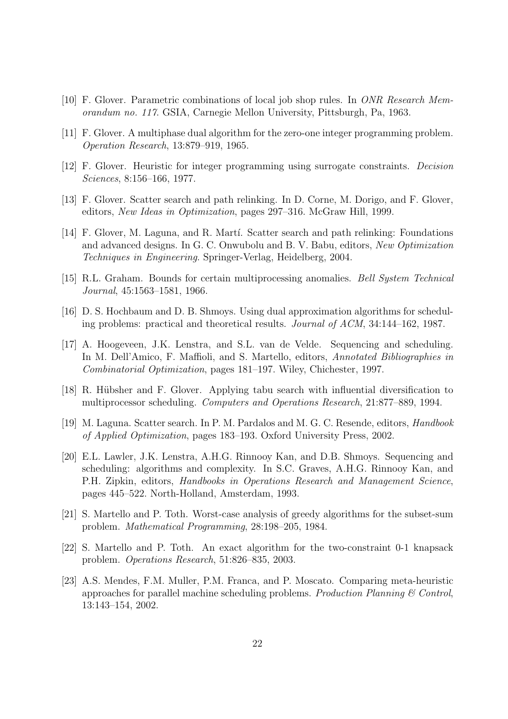- [10] F. Glover. Parametric combinations of local job shop rules. In ONR Research Memorandum no. 117. GSIA, Carnegie Mellon University, Pittsburgh, Pa, 1963.
- [11] F. Glover. A multiphase dual algorithm for the zero-one integer programming problem. Operation Research, 13:879–919, 1965.
- [12] F. Glover. Heuristic for integer programming using surrogate constraints. Decision Sciences, 8:156–166, 1977.
- [13] F. Glover. Scatter search and path relinking. In D. Corne, M. Dorigo, and F. Glover, editors, New Ideas in Optimization, pages 297–316. McGraw Hill, 1999.
- [14] F. Glover, M. Laguna, and R. Martí. Scatter search and path relinking: Foundations and advanced designs. In G. C. Onwubolu and B. V. Babu, editors, New Optimization Techniques in Engineering. Springer-Verlag, Heidelberg, 2004.
- [15] R.L. Graham. Bounds for certain multiprocessing anomalies. Bell System Technical Journal, 45:1563–1581, 1966.
- [16] D. S. Hochbaum and D. B. Shmoys. Using dual approximation algorithms for scheduling problems: practical and theoretical results. Journal of ACM, 34:144–162, 1987.
- [17] A. Hoogeveen, J.K. Lenstra, and S.L. van de Velde. Sequencing and scheduling. In M. Dell'Amico, F. Maffioli, and S. Martello, editors, Annotated Bibliographies in Combinatorial Optimization, pages 181–197. Wiley, Chichester, 1997.
- [18] R. Hübsher and F. Glover. Applying tabu search with influential diversification to multiprocessor scheduling. Computers and Operations Research, 21:877–889, 1994.
- [19] M. Laguna. Scatter search. In P. M. Pardalos and M. G. C. Resende, editors, Handbook of Applied Optimization, pages 183–193. Oxford University Press, 2002.
- [20] E.L. Lawler, J.K. Lenstra, A.H.G. Rinnooy Kan, and D.B. Shmoys. Sequencing and scheduling: algorithms and complexity. In S.C. Graves, A.H.G. Rinnooy Kan, and P.H. Zipkin, editors, Handbooks in Operations Research and Management Science, pages 445–522. North-Holland, Amsterdam, 1993.
- [21] S. Martello and P. Toth. Worst-case analysis of greedy algorithms for the subset-sum problem. Mathematical Programming, 28:198–205, 1984.
- [22] S. Martello and P. Toth. An exact algorithm for the two-constraint 0-1 knapsack problem. Operations Research, 51:826–835, 2003.
- [23] A.S. Mendes, F.M. Muller, P.M. Franca, and P. Moscato. Comparing meta-heuristic approaches for parallel machine scheduling problems. Production Planning  $\mathcal C$  Control, 13:143–154, 2002.